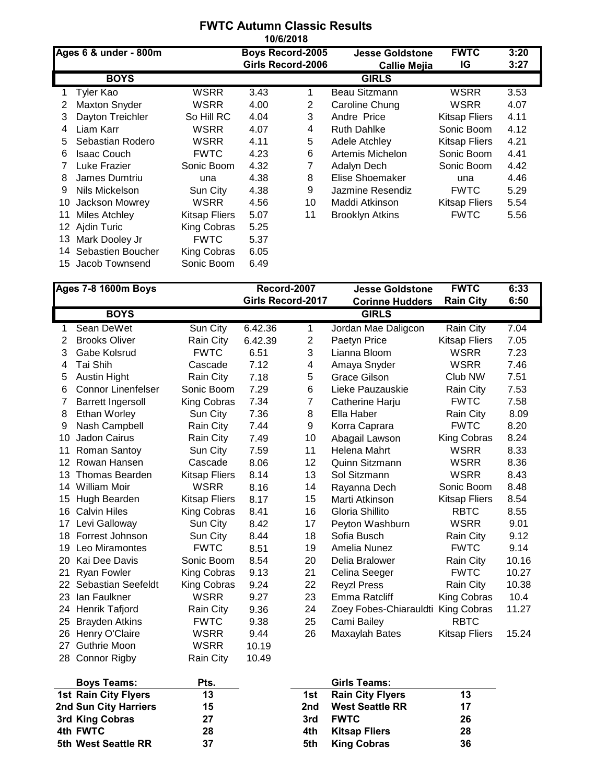|    | <b>FWTC Autumn Classic Results</b><br>10/6/2018 |                      |                                              |    |                                               |                      |              |  |  |  |
|----|-------------------------------------------------|----------------------|----------------------------------------------|----|-----------------------------------------------|----------------------|--------------|--|--|--|
|    | Ages 6 & under - 800m                           |                      | <b>Boys Record-2005</b><br>Girls Record-2006 |    | <b>Jesse Goldstone</b><br><b>Callie Mejia</b> | <b>FWTC</b><br>IG    | 3:20<br>3:27 |  |  |  |
|    | <b>BOYS</b>                                     |                      |                                              |    | <b>GIRLS</b>                                  |                      |              |  |  |  |
| 1  | Tyler Kao                                       | WSRR                 | 3.43                                         | 1  | Beau Sitzmann                                 | <b>WSRR</b>          | 3.53         |  |  |  |
| 2  | <b>Maxton Snyder</b>                            | <b>WSRR</b>          | 4.00                                         | 2  | Caroline Chung                                | <b>WSRR</b>          | 4.07         |  |  |  |
| 3  | Dayton Treichler                                | So Hill RC           | 4.04                                         | 3  | Andre Price                                   | <b>Kitsap Fliers</b> | 4.11         |  |  |  |
| 4  | Liam Karr                                       | <b>WSRR</b>          | 4.07                                         | 4  | <b>Ruth Dahlke</b>                            | Sonic Boom           | 4.12         |  |  |  |
| 5  | Sebastian Rodero                                | <b>WSRR</b>          | 4.11                                         | 5  | Adele Atchley                                 | <b>Kitsap Fliers</b> | 4.21         |  |  |  |
| 6  | <b>Isaac Couch</b>                              | <b>FWTC</b>          | 4.23                                         | 6  | Artemis Michelon                              | Sonic Boom           | 4.41         |  |  |  |
|    | Luke Frazier                                    | Sonic Boom           | 4.32                                         | 7  | Adalyn Dech                                   | Sonic Boom           | 4.42         |  |  |  |
| 8  | James Dumtriu                                   | una                  | 4.38                                         | 8  | Elise Shoemaker                               | una                  | 4.46         |  |  |  |
| 9  | Nils Mickelson                                  | Sun City             | 4.38                                         | 9  | Jazmine Resendiz                              | <b>FWTC</b>          | 5.29         |  |  |  |
| 10 | Jackson Mowrey                                  | <b>WSRR</b>          | 4.56                                         | 10 | Maddi Atkinson                                | <b>Kitsap Fliers</b> | 5.54         |  |  |  |
| 11 | Miles Atchley                                   | <b>Kitsap Fliers</b> | 5.07                                         | 11 | <b>Brooklyn Atkins</b>                        | <b>FWTC</b>          | 5.56         |  |  |  |
| 12 | Ajdin Turic                                     | King Cobras          | 5.25                                         |    |                                               |                      |              |  |  |  |
| 13 | Mark Dooley Jr                                  | <b>FWTC</b>          | 5.37                                         |    |                                               |                      |              |  |  |  |
|    | 14 Sebastien Boucher                            | King Cobras          | 6.05                                         |    |                                               |                      |              |  |  |  |
|    | 15 Jacob Townsend                               | Sonic Boom           | 6.49                                         |    |                                               |                      |              |  |  |  |

| <b>Ages 7-8 1600m Boys</b> |                           |                      | Record-2007              |                | <b>Jesse Goldstone</b> | <b>FWTC</b>          | 6:33  |
|----------------------------|---------------------------|----------------------|--------------------------|----------------|------------------------|----------------------|-------|
|                            |                           |                      | <b>Girls Record-2017</b> |                | <b>Corinne Hudders</b> | <b>Rain City</b>     | 6:50  |
|                            | <b>BOYS</b>               |                      |                          |                | <b>GIRLS</b>           |                      |       |
| 1                          | Sean DeWet                | Sun City             | 6.42.36                  | 1              | Jordan Mae Daligcon    | Rain City            | 7.04  |
| 2                          | <b>Brooks Oliver</b>      | Rain City            | 6.42.39                  | $\overline{2}$ | Paetyn Price           | <b>Kitsap Fliers</b> | 7.05  |
| 3                          | Gabe Kolsrud              | <b>FWTC</b>          | 6.51                     | 3              | Lianna Bloom           | <b>WSRR</b>          | 7.23  |
| 4                          | Tai Shih                  | Cascade              | 7.12                     | 4              | Amaya Snyder           | <b>WSRR</b>          | 7.46  |
| 5                          | <b>Austin Hight</b>       | Rain City            | 7.18                     | 5              | Grace Gilson           | Club NW              | 7.51  |
| 6                          | <b>Connor Linenfelser</b> | Sonic Boom           | 7.29                     | 6              | Lieke Pauzauskie       | Rain City            | 7.53  |
| 7                          | <b>Barrett Ingersoll</b>  | King Cobras          | 7.34                     | $\overline{7}$ | Catherine Harju        | <b>FWTC</b>          | 7.58  |
| 8                          | Ethan Worley              | Sun City             | 7.36                     | 8              | Ella Haber             | Rain City            | 8.09  |
| 9                          | Nash Campbell             | Rain City            | 7.44                     | 9              | Korra Caprara          | <b>FWTC</b>          | 8.20  |
| 10                         | <b>Jadon Cairus</b>       | <b>Rain City</b>     | 7.49                     | 10             | Abagail Lawson         | King Cobras          | 8.24  |
| 11                         | Roman Santoy              | Sun City             | 7.59                     | 11             | Helena Mahrt           | <b>WSRR</b>          | 8.33  |
| 12                         | Rowan Hansen              | Cascade              | 8.06                     | 12             | Quinn Sitzmann         | <b>WSRR</b>          | 8.36  |
| 13                         | <b>Thomas Bearden</b>     | <b>Kitsap Fliers</b> | 8.14                     | 13             | Sol Sitzmann           | <b>WSRR</b>          | 8.43  |
| 14                         | <b>William Moir</b>       | <b>WSRR</b>          | 8.16                     | 14             | Rayanna Dech           | Sonic Boom           | 8.48  |
| 15                         | Hugh Bearden              | <b>Kitsap Fliers</b> | 8.17                     | 15             | Marti Atkinson         | <b>Kitsap Fliers</b> | 8.54  |
| 16                         | <b>Calvin Hiles</b>       | King Cobras          | 8.41                     | 16             | Gloria Shillito        | <b>RBTC</b>          | 8.55  |
| 17                         | Levi Galloway             | Sun City             | 8.42                     | 17             | Peyton Washburn        | <b>WSRR</b>          | 9.01  |
| 18                         | Forrest Johnson           | Sun City             | 8.44                     | 18             | Sofia Busch            | Rain City            | 9.12  |
| 19                         | Leo Miramontes            | <b>FWTC</b>          | 8.51                     | 19             | Amelia Nunez           | <b>FWTC</b>          | 9.14  |
| 20                         | Kai Dee Davis             | Sonic Boom           | 8.54                     | 20             | Delia Bralower         | Rain City            | 10.16 |
| 21                         | <b>Ryan Fowler</b>        | King Cobras          | 9.13                     | 21             | Celina Seeger          | <b>FWTC</b>          | 10.27 |
| 22                         | Sebastian Seefeldt        | King Cobras          | 9.24                     | 22             | <b>Reyzl Press</b>     | Rain City            | 10.38 |
| 23                         | lan Faulkner              | <b>WSRR</b>          | 9.27                     | 23             | Emma Ratcliff          | King Cobras          | 10.4  |
| 24                         | Henrik Tafjord            | Rain City            | 9.36                     | 24             | Zoey Fobes-Chiarauldti | <b>King Cobras</b>   | 11.27 |
| 25                         | <b>Brayden Atkins</b>     | <b>FWTC</b>          | 9.38                     | 25             | Cami Bailey            | <b>RBTC</b>          |       |
| 26                         | Henry O'Claire            | <b>WSRR</b>          | 9.44                     | 26             | Maxaylah Bates         | <b>Kitsap Fliers</b> | 15.24 |
| 27                         | <b>Guthrie Moon</b>       | <b>WSRR</b>          | 10.19                    |                |                        |                      |       |
| 28                         | <b>Connor Rigby</b>       | Rain City            | 10.49                    |                |                        |                      |       |

| <b>Boys Teams:</b>          | Pts. |     | Girls Teams:            |    |
|-----------------------------|------|-----|-------------------------|----|
| <b>1st Rain City Flyers</b> | 13   | 1st | <b>Rain City Flyers</b> | 13 |
| 2nd Sun City Harriers       | 15   | 2nd | <b>West Seattle RR</b>  | 17 |
| 3rd King Cobras             | 27   | 3rd | <b>FWTC</b>             | 26 |
| 4th FWTC                    | 28   | 4th | <b>Kitsap Fliers</b>    | 28 |
| 5th West Seattle RR         | 37   | 5th | <b>King Cobras</b>      | 36 |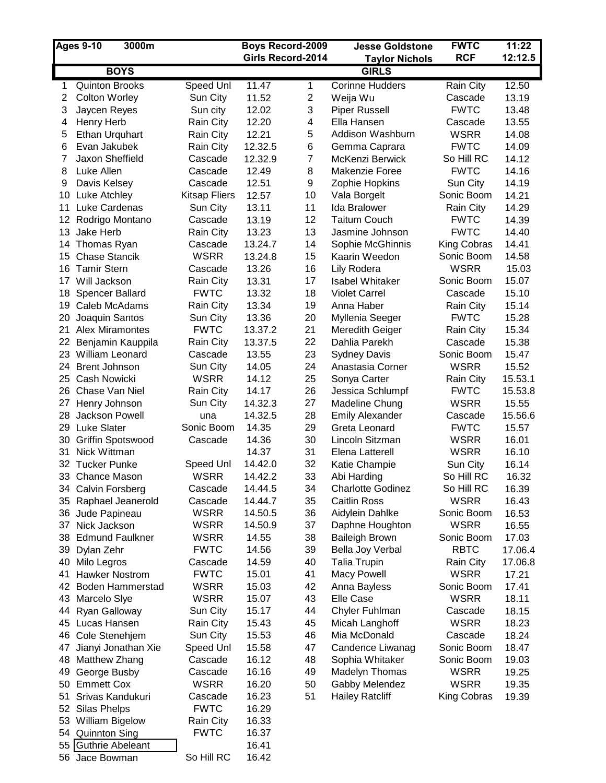| <b>Ages 9-10</b><br>3000m |                         | <b>Boys Record-2009</b> |                   | <b>Jesse Goldstone</b> | <b>FWTC</b>              | 11:22            |         |
|---------------------------|-------------------------|-------------------------|-------------------|------------------------|--------------------------|------------------|---------|
|                           |                         |                         | Girls Record-2014 |                        | <b>Taylor Nichols</b>    | <b>RCF</b>       | 12:12.5 |
|                           | <b>BOYS</b>             |                         |                   |                        | <b>GIRLS</b>             |                  |         |
| 1                         | <b>Quinton Brooks</b>   | Speed Unl               | 11.47             | 1                      | <b>Corinne Hudders</b>   | Rain City        | 12.50   |
| 2                         | <b>Colton Worley</b>    | Sun City                | 11.52             | $\boldsymbol{2}$       | Weija Wu                 | Cascade          | 13.19   |
| 3                         | Jaycen Reyes            | Sun city                | 12.02             | 3                      | <b>Piper Russell</b>     | <b>FWTC</b>      | 13.48   |
| 4                         | Henry Herb              | Rain City               | 12.20             | 4                      | Ella Hansen              | Cascade          | 13.55   |
| 5                         | Ethan Urquhart          | Rain City               | 12.21             | 5                      | Addison Washburn         | <b>WSRR</b>      | 14.08   |
| 6                         | Evan Jakubek            | Rain City               | 12.32.5           | 6                      | Gemma Caprara            | <b>FWTC</b>      | 14.09   |
| 7                         | Jaxon Sheffield         | Cascade                 | 12.32.9           | $\overline{7}$         | McKenzi Berwick          | So Hill RC       | 14.12   |
| 8                         | Luke Allen              | Cascade                 | 12.49             | 8                      | Makenzie Foree           | <b>FWTC</b>      | 14.16   |
| 9                         | Davis Kelsey            | Cascade                 | 12.51             | 9                      | Zophie Hopkins           | Sun City         | 14.19   |
| 10                        | Luke Atchley            | <b>Kitsap Fliers</b>    | 12.57             | 10                     | Vala Borgelt             | Sonic Boom       | 14.21   |
| 11                        | Luke Cardenas           | Sun City                | 13.11             | 11                     | Ida Bralower             | Rain City        | 14.29   |
| 12                        | Rodrigo Montano         | Cascade                 | 13.19             | 12                     | <b>Taitum Couch</b>      | <b>FWTC</b>      | 14.39   |
| 13                        | Jake Herb               | Rain City               | 13.23             | 13                     | Jasmine Johnson          | <b>FWTC</b>      | 14.40   |
|                           | 14 Thomas Ryan          | Cascade                 | 13.24.7           | 14                     | Sophie McGhinnis         | King Cobras      | 14.41   |
| 15                        | <b>Chase Stancik</b>    | <b>WSRR</b>             | 13.24.8           | 15                     | Kaarin Weedon            | Sonic Boom       | 14.58   |
|                           | 16 Tamir Stern          | Cascade                 | 13.26             | 16                     | Lily Rodera              | <b>WSRR</b>      | 15.03   |
|                           | 17 Will Jackson         | Rain City               | 13.31             | 17                     | <b>Isabel Whitaker</b>   | Sonic Boom       | 15.07   |
| 18                        | <b>Spencer Ballard</b>  | <b>FWTC</b>             | 13.32             | 18                     | <b>Violet Carrel</b>     | Cascade          | 15.10   |
| 19                        | Caleb McAdams           | Rain City               | 13.34             | 19                     | Anna Haber               | Rain City        | 15.14   |
| 20                        | Joaquin Santos          | Sun City                | 13.36             | 20                     | Myllenia Seeger          | <b>FWTC</b>      | 15.28   |
| 21                        | <b>Alex Miramontes</b>  | <b>FWTC</b>             | 13.37.2           | 21                     | Meredith Geiger          | Rain City        | 15.34   |
| 22                        | Benjamin Kauppila       | Rain City               | 13.37.5           | 22                     | Dahlia Parekh            | Cascade          | 15.38   |
|                           | 23 William Leonard      | Cascade                 | 13.55             | 23                     | <b>Sydney Davis</b>      | Sonic Boom       | 15.47   |
| 24                        | <b>Brent Johnson</b>    | Sun City                | 14.05             | 24                     | Anastasia Corner         | <b>WSRR</b>      | 15.52   |
| 25                        | <b>Cash Nowicki</b>     | <b>WSRR</b>             | 14.12             | 25                     | Sonya Carter             | Rain City        | 15.53.1 |
|                           | 26 Chase Van Niel       | Rain City               | 14.17             | 26                     | Jessica Schlumpf         | <b>FWTC</b>      | 15.53.8 |
| 27                        | Henry Johnson           | Sun City                | 14.32.3           | 27                     | Madeline Chung           | <b>WSRR</b>      | 15.55   |
| 28.                       | Jackson Powell          | una                     | 14.32.5           | 28                     | <b>Emily Alexander</b>   | Cascade          | 15.56.6 |
|                           | 29 Luke Slater          | Sonic Boom              | 14.35             | 29                     | Greta Leonard            | <b>FWTC</b>      | 15.57   |
| 30                        | Griffin Spotswood       | Cascade                 | 14.36             | 30                     | Lincoln Sitzman          | <b>WSRR</b>      | 16.01   |
| 31                        | Nick Wittman            |                         | 14.37             | 31                     | Elena Latterell          | <b>WSRR</b>      | 16.10   |
| 32                        | <b>Tucker Punke</b>     | Speed Unl               | 14.42.0           | 32                     | Katie Champie            | Sun City         | 16.14   |
|                           | 33 Chance Mason         | <b>WSRR</b>             | 14.42.2           | 33                     | Abi Harding              | So Hill RC       | 16.32   |
|                           | 34 Calvin Forsberg      | Cascade                 | 14.44.5           | 34                     | <b>Charlotte Godinez</b> | So Hill RC       | 16.39   |
|                           | 35 Raphael Jeanerold    | Cascade                 | 14.44.7           | 35                     | <b>Caitlin Ross</b>      | <b>WSRR</b>      | 16.43   |
|                           | 36 Jude Papineau        | <b>WSRR</b>             | 14.50.5           | 36                     | Aidylein Dahlke          | Sonic Boom       | 16.53   |
| 37                        | Nick Jackson            | <b>WSRR</b>             | 14.50.9           | 37                     | Daphne Houghton          | <b>WSRR</b>      | 16.55   |
| 38                        | <b>Edmund Faulkner</b>  | <b>WSRR</b>             | 14.55             | 38                     | <b>Baileigh Brown</b>    | Sonic Boom       | 17.03   |
| 39                        | Dylan Zehr              | <b>FWTC</b>             | 14.56             | 39                     | Bella Joy Verbal         | <b>RBTC</b>      | 17.06.4 |
| 40                        | Milo Legros             | Cascade                 | 14.59             | 40                     | <b>Talia Trupin</b>      | <b>Rain City</b> | 17.06.8 |
| 41                        | <b>Hawker Nostrom</b>   | <b>FWTC</b>             | 15.01             | 41                     | <b>Macy Powell</b>       | <b>WSRR</b>      | 17.21   |
| 42                        | <b>Boden Hammerstad</b> | <b>WSRR</b>             | 15.03             | 42                     | Anna Bayless             | Sonic Boom       | 17.41   |
| 43                        | Marcelo Siye            | <b>WSRR</b>             | 15.07             | 43                     | Elle Case                | <b>WSRR</b>      | 18.11   |
| 44                        | Ryan Galloway           | Sun City                | 15.17             | 44                     | <b>Chyler Fuhlman</b>    | Cascade          | 18.15   |
|                           | 45 Lucas Hansen         | Rain City               | 15.43             | 45                     | Micah Langhoff           | <b>WSRR</b>      | 18.23   |
|                           | 46 Cole Stenehjem       | Sun City                | 15.53             | 46                     | Mia McDonald             | Cascade          | 18.24   |
| 47                        | Jianyi Jonathan Xie     | Speed Unl               | 15.58             | 47                     | Candence Liwanag         | Sonic Boom       | 18.47   |
| 48                        | Matthew Zhang           | Cascade                 | 16.12             | 48                     | Sophia Whitaker          | Sonic Boom       | 19.03   |
| 49                        | George Busby            | Cascade                 | 16.16             | 49                     | Madelyn Thomas           | <b>WSRR</b>      | 19.25   |
|                           | 50 Emmett Cox           | <b>WSRR</b>             | 16.20             | 50                     | Gabby Melendez           | <b>WSRR</b>      | 19.35   |
| 51                        | Srivas Kandukuri        | Cascade                 | 16.23             | 51                     | <b>Hailey Ratcliff</b>   | King Cobras      | 19.39   |
|                           | 52 Silas Phelps         | <b>FWTC</b>             | 16.29             |                        |                          |                  |         |
|                           | 53 William Bigelow      | Rain City               | 16.33             |                        |                          |                  |         |
|                           | 54 Quinnton Sing        | <b>FWTC</b>             | 16.37             |                        |                          |                  |         |
| 55                        | Guthrie Abeleant        | So Hill RC              | 16.41<br>16.42    |                        |                          |                  |         |
|                           | 56 Jace Bowman          |                         |                   |                        |                          |                  |         |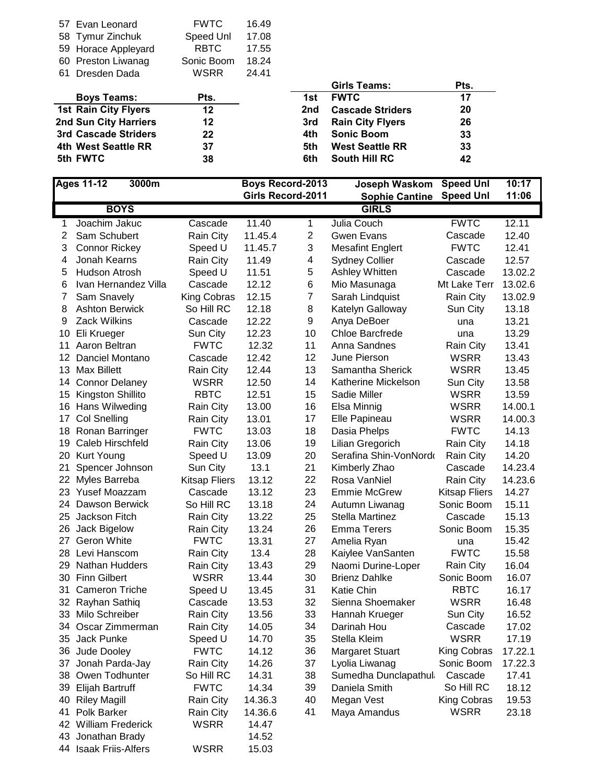| 57 Evan Leonard             | <b>FWTC</b> | 16.49 |     |                         |     |
|-----------------------------|-------------|-------|-----|-------------------------|-----|
| 58 Tymur Zinchuk            | Speed Unl   | 17.08 |     |                         |     |
| 59 Horace Appleyard         | <b>RBTC</b> | 17.55 |     |                         |     |
| 60 Preston Liwanag          | Sonic Boom  | 18.24 |     |                         |     |
| Dresden Dada<br>61          | WSRR        | 24.41 |     |                         |     |
|                             |             |       |     | Girls Teams:            | Pts |
| <b>Boys Teams:</b>          | Pts.        |       | 1st | <b>FWTC</b>             | 17  |
| <b>1st Rain City Flyers</b> | 12          |       | 2nd | <b>Cascade Striders</b> | 20  |
| 2nd Sun City Harriers       | 12          |       | 3rd | <b>Rain City Flyers</b> | 26  |
| 3rd Cascade Striders        | 22          |       | 4th | <b>Sonic Boom</b>       | 33  |
| 4th West Seattle RR         | 37          |       | 5th | <b>West Seattle RR</b>  | 33  |
| 5th FWTC                    | 38          |       | 6th | <b>South Hill RC</b>    | 42  |

|     | Girls Teams:            | Pts. |
|-----|-------------------------|------|
| 1st | <b>FWTC</b>             | 17   |
| 2nd | <b>Cascade Striders</b> | 20   |
| 3rd | <b>Rain City Flyers</b> | 26   |
| 4th | <b>Sonic Boom</b>       | 33   |
| 5th | <b>West Seattle RR</b>  | 33   |
| հքի | South Hill RC           | 42   |

| <b>Ages 11-12</b> |                       | 3000m |                      | <b>Boys Record-2013</b>  |                | Joseph Waskom           | <b>Speed Unl</b>     | 10:17   |
|-------------------|-----------------------|-------|----------------------|--------------------------|----------------|-------------------------|----------------------|---------|
|                   |                       |       |                      | <b>Girls Record-2011</b> |                | <b>Sophie Cantine</b>   | <b>Speed Unl</b>     | 11:06   |
|                   | <b>BOYS</b>           |       |                      |                          |                | <b>GIRLS</b>            |                      |         |
| 1                 | Joachim Jakuc         |       | Cascade              | 11.40                    | 1              | Julia Couch             | <b>FWTC</b>          | 12.11   |
| 2                 | Sam Schubert          |       | Rain City            | 11.45.4                  | $\overline{2}$ | <b>Gwen Evans</b>       | Cascade              | 12.40   |
| 3                 | <b>Connor Rickey</b>  |       | Speed U              | 11.45.7                  | 3              | <b>Mesafint Englert</b> | <b>FWTC</b>          | 12.41   |
| 4                 | Jonah Kearns          |       | Rain City            | 11.49                    | 4              | <b>Sydney Collier</b>   | Cascade              | 12.57   |
| 5                 | <b>Hudson Atrosh</b>  |       | Speed U              | 11.51                    | 5              | Ashley Whitten          | Cascade              | 13.02.2 |
| 6                 | Ivan Hernandez Villa  |       | Cascade              | 12.12                    | 6              | Mio Masunaga            | Mt Lake Terr         | 13.02.6 |
| 7                 | Sam Snavely           |       | <b>King Cobras</b>   | 12.15                    | $\overline{7}$ | Sarah Lindquist         | Rain City            | 13.02.9 |
| 8                 | <b>Ashton Berwick</b> |       | So Hill RC           | 12.18                    | 8              | Katelyn Galloway        | Sun City             | 13.18   |
| 9                 | <b>Zack Wilkins</b>   |       | Cascade              | 12.22                    | 9              | Anya DeBoer             | una                  | 13.21   |
| 10                | Eli Krueger           |       | Sun City             | 12.23                    | 10             | <b>Chloe Barcfrede</b>  | una                  | 13.29   |
| 11                | Aaron Beltran         |       | <b>FWTC</b>          | 12.32                    | 11             | Anna Sandnes            | Rain City            | 13.41   |
| 12                | Danciel Montano       |       | Cascade              | 12.42                    | 12             | June Pierson            | <b>WSRR</b>          | 13.43   |
| 13                | <b>Max Billett</b>    |       | Rain City            | 12.44                    | 13             | Samantha Sherick        | <b>WSRR</b>          | 13.45   |
| 14                | <b>Connor Delaney</b> |       | <b>WSRR</b>          | 12.50                    | 14             | Katherine Mickelson     | Sun City             | 13.58   |
| 15                | Kingston Shillito     |       | <b>RBTC</b>          | 12.51                    | 15             | Sadie Miller            | <b>WSRR</b>          | 13.59   |
| 16                | Hans Wilweding        |       | Rain City            | 13.00                    | 16             | Elsa Minnig             | <b>WSRR</b>          | 14.00.1 |
| 17                | <b>Col Snelling</b>   |       | Rain City            | 13.01                    | 17             | Elle Papineau           | <b>WSRR</b>          | 14.00.3 |
| 18                | Ronan Barringer       |       | <b>FWTC</b>          | 13.03                    | 18             | Dasia Phelps            | <b>FWTC</b>          | 14.13   |
| 19                | Caleb Hirschfeld      |       | Rain City            | 13.06                    | 19             | Lilian Gregorich        | Rain City            | 14.18   |
| 20                | <b>Kurt Young</b>     |       | Speed U              | 13.09                    | 20             | Serafina Shin-VonNordo  | Rain City            | 14.20   |
| 21                | Spencer Johnson       |       | Sun City             | 13.1                     | 21             | Kimberly Zhao           | Cascade              | 14.23.4 |
| 22                | Myles Barreba         |       | <b>Kitsap Fliers</b> | 13.12                    | 22             | Rosa VanNiel            | Rain City            | 14.23.6 |
| 23                | Yusef Moazzam         |       | Cascade              | 13.12                    | 23             | <b>Emmie McGrew</b>     | <b>Kitsap Fliers</b> | 14.27   |
| 24                | Dawson Berwick        |       | So Hill RC           | 13.18                    | 24             | Autumn Liwanag          | Sonic Boom           | 15.11   |
| 25                | Jackson Fitch         |       | Rain City            | 13.22                    | 25             | <b>Stella Martinez</b>  | Cascade              | 15.13   |
| 26                | Jack Bigelow          |       | Rain City            | 13.24                    | 26             | <b>Emma Terers</b>      | Sonic Boom           | 15.35   |
| 27                | Geron White           |       | <b>FWTC</b>          | 13.31                    | 27             | Amelia Ryan             | una                  | 15.42   |
| 28                | Levi Hanscom          |       | Rain City            | 13.4                     | 28             | Kaiylee VanSanten       | <b>FWTC</b>          | 15.58   |
| 29                | <b>Nathan Hudders</b> |       | Rain City            | 13.43                    | 29             | Naomi Durine-Loper      | Rain City            | 16.04   |
|                   | 30 Finn Gilbert       |       | <b>WSRR</b>          | 13.44                    | 30             | <b>Brienz Dahlke</b>    | Sonic Boom           | 16.07   |
| 31                | <b>Cameron Triche</b> |       | Speed U              | 13.45                    | 31             | Katie Chin              | <b>RBTC</b>          | 16.17   |
| 32                | Rayhan Sathiq         |       | Cascade              | 13.53                    | 32             | Sienna Shoemaker        | <b>WSRR</b>          | 16.48   |
|                   | 33 Milo Schreiber     |       | Rain City            | 13.56                    | 33             | Hannah Krueger          | Sun City             | 16.52   |
|                   | 34 Oscar Zimmerman    |       | Rain City            | 14.05                    | 34             | Darinah Hou             | Cascade              | 17.02   |
|                   | 35 Jack Punke         |       | Speed U              | 14.70                    | 35             | Stella Kleim            | <b>WSRR</b>          | 17.19   |
|                   | 36 Jude Dooley        |       | <b>FWTC</b>          | 14.12                    | 36             | <b>Margaret Stuart</b>  | King Cobras          | 17.22.1 |
| 37                | Jonah Parda-Jay       |       | Rain City            | 14.26                    | 37             | Lyolia Liwanag          | Sonic Boom           | 17.22.3 |
| 38                | Owen Todhunter        |       | So Hill RC           | 14.31                    | 38             | Sumedha Dunclapathul    | Cascade              | 17.41   |
|                   | 39 Elijah Bartruff    |       | <b>FWTC</b>          | 14.34                    | 39             | Daniela Smith           | So Hill RC           | 18.12   |
| 40                | <b>Riley Magill</b>   |       | Rain City            | 14.36.3                  | 40             | Megan Vest              | King Cobras          | 19.53   |
| 41                | Polk Barker           |       | Rain City            | 14.36.6                  | 41             | Maya Amandus            | <b>WSRR</b>          | 23.18   |
|                   | 42 William Frederick  |       | <b>WSRR</b>          | 14.47                    |                |                         |                      |         |
|                   | 43 Jonathan Brady     |       |                      | 14.52                    |                |                         |                      |         |
|                   | 44 Isaak Friis-Alfers |       | WSRR                 | 15.03                    |                |                         |                      |         |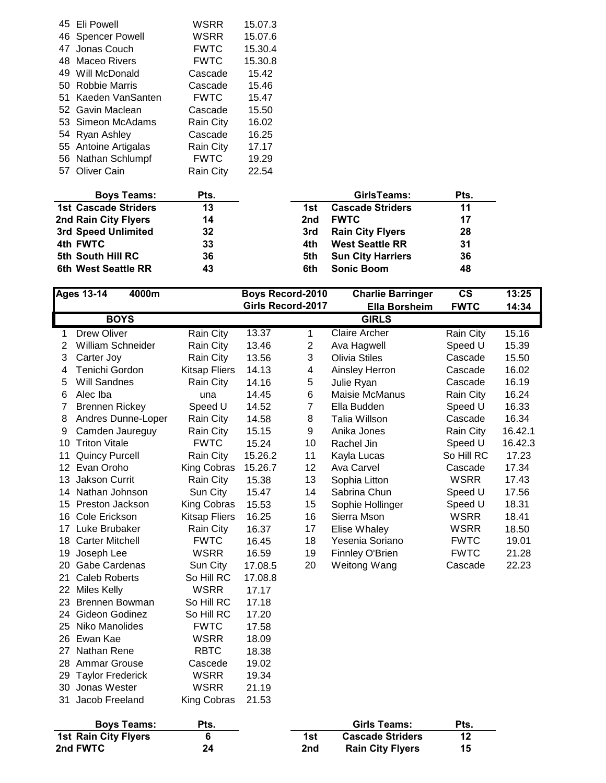| 45 Eli Powell        | WSRR             | 15.07.3 |
|----------------------|------------------|---------|
| 46 Spencer Powell    | WSRR             | 15.07.6 |
| 47 Jonas Couch       | <b>FWTC</b>      | 15.30.4 |
| 48 Maceo Rivers      | <b>FWTC</b>      | 15.30.8 |
| 49 Will McDonald     | Cascade          | 15.42   |
| 50 Robbie Marris     | Cascade          | 15.46   |
| 51 Kaeden VanSanten  | <b>FWTC</b>      | 15.47   |
| 52 Gavin Maclean     | Cascade          | 15.50   |
| 53 Simeon McAdams    | <b>Rain City</b> | 16.02   |
| 54 Ryan Ashley       | Cascade          | 16.25   |
| 55 Antoine Artigalas | Rain City        | 17.17   |
| 56 Nathan Schlumpf   | <b>FWTC</b>      | 19.29   |
| 57 Oliver Cain       | <b>Rain City</b> | 22.54   |
|                      |                  |         |

| <b>Boys Teams:</b>          | Pts. |     | GirlsTeams:              | Pts. |
|-----------------------------|------|-----|--------------------------|------|
| <b>1st Cascade Striders</b> | 13   | 1st | <b>Cascade Striders</b>  | 11   |
| 2nd Rain City Flyers        | 14   | 2nd | <b>FWTC</b>              | 17   |
| 3rd Speed Unlimited         | 32   | 3rd | <b>Rain City Flyers</b>  | 28   |
| 4th FWTC                    | 33   | 4th | <b>West Seattle RR</b>   | 31   |
| 5th South Hill RC           | 36   | 5th | <b>Sun City Harriers</b> | 36   |
| 6th West Seattle RR         | 43   | 6th | <b>Sonic Boom</b>        | 48   |

| 4000m<br><b>Ages 13-14</b> |                             |                      | <b>Boys Record-2010</b>  |                         | <b>Charlie Barringer</b> | $\mathsf{cs}$ | 13:25   |
|----------------------------|-----------------------------|----------------------|--------------------------|-------------------------|--------------------------|---------------|---------|
|                            |                             |                      | <b>Girls Record-2017</b> |                         | <b>Ella Borsheim</b>     | <b>FWTC</b>   | 14:34   |
|                            | <b>BOYS</b>                 |                      |                          |                         | <b>GIRLS</b>             |               |         |
| 1                          | <b>Drew Oliver</b>          | Rain City            | 13.37                    | 1                       | <b>Claire Archer</b>     | Rain City     | 15.16   |
| $\overline{2}$             | William Schneider           | Rain City            | 13.46                    | $\mathbf{2}$            | Ava Hagwell              | Speed U       | 15.39   |
| 3                          | Carter Joy                  | Rain City            | 13.56                    | 3                       | <b>Olivia Stiles</b>     | Cascade       | 15.50   |
| 4                          | Tenichi Gordon              | <b>Kitsap Fliers</b> | 14.13                    | $\overline{\mathbf{4}}$ | <b>Ainsley Herron</b>    | Cascade       | 16.02   |
| 5                          | <b>Will Sandnes</b>         | Rain City            | 14.16                    | 5                       | Julie Ryan               | Cascade       | 16.19   |
| 6                          | Alec Iba                    | una                  | 14.45                    | 6                       | Maisie McManus           | Rain City     | 16.24   |
| $\overline{7}$             | <b>Brennen Rickey</b>       | Speed U              | 14.52                    | $\overline{7}$          | Ella Budden              | Speed U       | 16.33   |
| 8                          | Andres Dunne-Loper          | <b>Rain City</b>     | 14.58                    | 8                       | Talia Willson            | Cascade       | 16.34   |
| 9                          | Camden Jaureguy             | Rain City            | 15.15                    | 9                       | Anika Jones              | Rain City     | 16.42.1 |
| 10                         | <b>Triton Vitale</b>        | <b>FWTC</b>          | 15.24                    | 10                      | Rachel Jin               | Speed U       | 16.42.3 |
| 11                         | <b>Quincy Purcell</b>       | Rain City            | 15.26.2                  | 11                      | Kayla Lucas              | So Hill RC    | 17.23   |
| 12                         | Evan Oroho                  | King Cobras          | 15.26.7                  | 12                      | Ava Carvel               | Cascade       | 17.34   |
| 13                         | <b>Jakson Currit</b>        | Rain City            | 15.38                    | 13                      | Sophia Litton            | <b>WSRR</b>   | 17.43   |
| 14                         | Nathan Johnson              | Sun City             | 15.47                    | 14                      | Sabrina Chun             | Speed U       | 17.56   |
| 15                         | Preston Jackson             | King Cobras          | 15.53                    | 15                      | Sophie Hollinger         | Speed U       | 18.31   |
| 16                         | Cole Erickson               | <b>Kitsap Fliers</b> | 16.25                    | 16                      | Sierra Mson              | <b>WSRR</b>   | 18.41   |
| 17                         | Luke Brubaker               | Rain City            | 16.37                    | 17                      | Elise Whaley             | <b>WSRR</b>   | 18.50   |
| 18                         | <b>Carter Mitchell</b>      | <b>FWTC</b>          | 16.45                    | 18                      | Yesenia Soriano          | <b>FWTC</b>   | 19.01   |
| 19                         | Joseph Lee                  | <b>WSRR</b>          | 16.59                    | 19                      | Finnley O'Brien          | <b>FWTC</b>   | 21.28   |
| 20                         | Gabe Cardenas               | Sun City             | 17.08.5                  | 20                      | Weitong Wang             | Cascade       | 22.23   |
| 21                         | <b>Caleb Roberts</b>        | So Hill RC           | 17.08.8                  |                         |                          |               |         |
|                            | 22 Miles Kelly              | <b>WSRR</b>          | 17.17                    |                         |                          |               |         |
|                            | 23 Brennen Bowman           | So Hill RC           | 17.18                    |                         |                          |               |         |
|                            | 24 Gideon Godinez           | So Hill RC           | 17.20                    |                         |                          |               |         |
| 25                         | Niko Manolides              | <b>FWTC</b>          | 17.58                    |                         |                          |               |         |
|                            | 26 Ewan Kae                 | <b>WSRR</b>          | 18.09                    |                         |                          |               |         |
| 27                         | Nathan Rene                 | <b>RBTC</b>          | 18.38                    |                         |                          |               |         |
|                            | 28 Ammar Grouse             | Cascede              | 19.02                    |                         |                          |               |         |
| 29                         | <b>Taylor Frederick</b>     | <b>WSRR</b>          | 19.34                    |                         |                          |               |         |
| 30                         | Jonas Wester                | <b>WSRR</b>          | 21.19                    |                         |                          |               |         |
| 31                         | Jacob Freeland              | King Cobras          | 21.53                    |                         |                          |               |         |
|                            | <b>Boys Teams:</b>          | Pts.                 |                          |                         | <b>Girls Teams:</b>      | Pts.          |         |
|                            | <b>1st Rain City Flyers</b> | 6                    |                          | 1st                     | <b>Cascade Striders</b>  | 12            |         |
|                            | 2nd FWTC                    | 24                   |                          | 2nd                     | <b>Rain City Flyers</b>  | 15            |         |

| 3oys Teams:        | Pts. |     | Girls Teams:            | Pts. |
|--------------------|------|-----|-------------------------|------|
| <b>City Flyers</b> |      | 1st | <b>Cascade Striders</b> |      |
|                    | 24   | 2nd | <b>Rain City Flyers</b> |      |